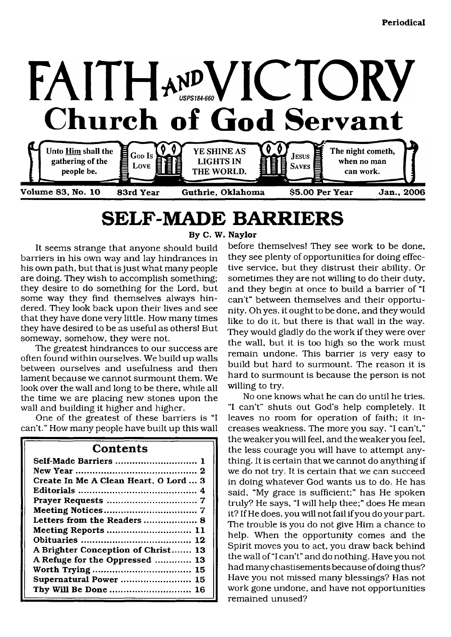

# <span id="page-0-0"></span>**SELF-MADE BARRIERS**

**By C. W. Naylor**

It seems strange that anyone should build barriers in his own way and lay hindrances in his own path, but that is just what many people are doing. They wish to accomplish something; they desire to do something for the Lord, but some way they find themselves always hindered. They look back upon their lives and see that they have done very little. How many times they have desired to be as useful as others! But someway, somehow, they were not.

The greatest hindrances to our success are often found within ourselves. We build up walls between ourselves and usefulness and then lament because we cannot surmount them. We look over the wall and long to be there, while all the time we are placing new stones upon the wall and building it higher and higher.

One of the greatest of these barriers is "I can't." How many people have built up this wall

| Contents                              |  |  |
|---------------------------------------|--|--|
|                                       |  |  |
|                                       |  |  |
| Create In Me A Clean Heart, O Lord  3 |  |  |
|                                       |  |  |
|                                       |  |  |
|                                       |  |  |
| Letters from the Readers  8           |  |  |
| Meeting Reports  11                   |  |  |
|                                       |  |  |
| A Brighter Conception of Christ 13    |  |  |
| A Refuge for the Oppressed  13        |  |  |
|                                       |  |  |
| Supernatural Power  15                |  |  |
|                                       |  |  |

before themselves! They see work to be done, they see plenty of opportunities for doing effective service, but they distrust their ability. Or sometimes they are not willing to do their duty, and they begin at once to build a barrier of "I can't" between themselves and their opportunity. Oh yes, it ought to be done, and they would like to do it, but there is that wall in the way. They would gladly do the work if they were over the wall, but it is too high so the work must remain undone. This barrier is very easy to build but hard to surmount. The reason it is hard to surmount is because the person is not willing to try.

No one knows what he can do until he tries. "I can't" shuts out God's help completely. It leaves no room for operation of faith; it increases weakness. The more you say, "I can't," the weaker you will feel, and the weaker you feel, the less courage you will have to attempt anything. It is certain that we cannot do anything if we do not try. It is certain that we can succeed in doing whatever God wants us to do. He has said, "My grace is sufficient;" has He spoken truly? He says, "I will help thee;" does He mean it? If He does, you will not fail if you do your part. The trouble is you do not give Him a chance to help. When the opportunity comes and the Spirit moves you to act, you draw back behind the wall of "I can't" and do nothing. Have you not had many chastisements because of doing thus? Have you not missed many blessings? Has not work gone undone, and have not opportunities remained unused?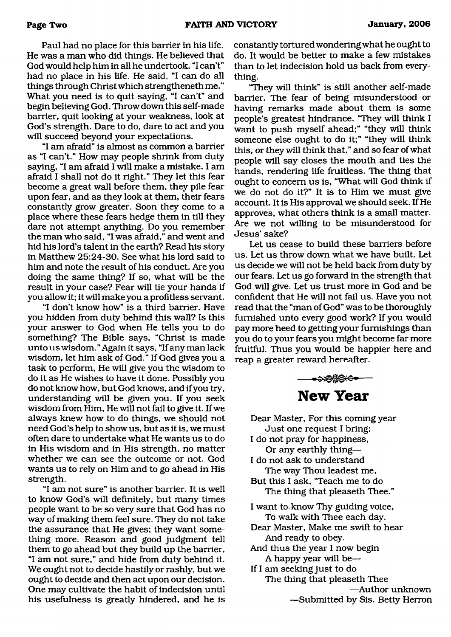Paul had no place for this barrier in his life. He was a man who did things. He believed that God would help him in all he undertook. "I can't" had no place in his life. He said, "I can do all things through Christ which strengtheneth me." What you need is to quit saying, "I can't" and begin believing God. Throw down this self-made barrier, quit looking at your weakness, look at God's strength. Dare to do, dare to act and you will succeed beyond your expectations.

"I am afraid" is almost as common a barrier as "I can't." How may people shrink from duty saying, "I am afraid I will make a mistake. I am afraid I shall not do it right." They let this fear become a great wall before them, they pile fear upon fear, and as they look at them, their fears constantly grow greater. Soon they come to a place where these fears hedge them in till they dare not attempt anything. Do you remember the man who said, "I was afraid," and went and hid his lord's talent in the earth? Read his story in Matthew 25:24-30. See what his lord said to him and note the result of his conduct. Are you doing the same thing? If so, what will be the result in your case? Fear will tie your hands if you allow it; it will make you a profitless servant.

"I don't know how" is a third barrier. Have you hidden from duty behind this wall? Is this your answer to God when He tells you to do something? The Bible says, "Christ is made unto us wisdom. " Again it says, "If any man lack wisdom, let him ask of God." If God gives you a task to perform, He will give you the wisdom to do it as He wishes to have it done. Possibly you do not know how, but God knows, and if you try, understanding will be given you. If you seek wisdom from Him, He will not fail to give it. If we always knew how to do things, we should not need God's help to show us, but as it is, we must often dare to undertake what He wants us to do in His wisdom and in His strength, no matter whether we can see the outcome or not. God wants us to rely on Him and to go ahead in His strength.

"I am not sure" is another barrier. It is well to know God's will definitely, but many times people want to be so very sure that God has no way of making them feel sure. They do not take the assurance that He gives; they want something more. Reason and good judgment tell them to go ahead but they build up the barrier, "I am not sure," and hide from duty behind it. We ought not to decide hastily or rashly, but we ought to decide and then act upon our decision. One may cultivate the habit of indecision until his usefulness is greatly hindered, and he is constantly tortured wondering what he ought to do. It would be better to make a few mistakes than to let indecision hold us back from everything.

"They will think" is still another self-made barrier. The fear of being misunderstood or having remarks made about them is some people's greatest hindrance. "They will think I want to push myself ahead;" "they will think someone else ought to do it;" "they will think this, or they will think that," and so fear of what people will say closes the mouth and ties the hands, rendering life fruitless. The thing that ought to concern us is, "What will God think if we do not do it?" It is to Him we must give account. It is His approval we should seek. If He approves, what others think is a small matter. Are we not willing to be misunderstood for Jesus' sake?

Let us cease to build these barriers before us. Let us throw down what we have built. Let us decide we will not be held back from duty by our fears. Let us go forward in the strength that God will give. Let us trust more in God and be confident that He will not fail us. Have you not read that the "man of God" was to be thoroughly furnished unto every good work? If you would pay more heed to getting your furnishings than you do to your fears you might become far more fruitful. Thus you would be happier here and reap a greater reward hereafter.



**New Year**

<span id="page-1-0"></span>Dear Master, For this coming year Just one request I bring; I do not pray for happiness, Or any earthly thing— I do not ask to understand The way Thou leadest me, But this I ask, "Teach me to do The thing that pleaseth Thee." I want to-know Thy guiding voice, To walk with Thee each day. Dear Master, Make me swift to hear And ready to obey. And thus the year I now begin A happy year will be— If I am seeking just to do The thing that pleaseth Thee —Author unknown —Submitted by Sis. Betty Herron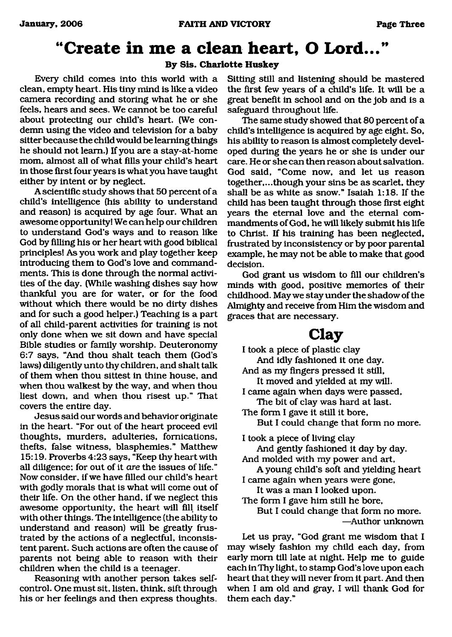## "Create in me a clean heart, O Lord...

#### **By Sis. Charlotte Huskey**

Every child comes into this world with a clean, empty heart. His tiny mind is like a video camera recording and storing what he or she feels, hears and sees. We cannot be too careful about protecting our child's heart. (We condemn using the video and television for a baby sitter because the child would be learning things he should not learn.) If you are a stay-at-home mom, almost all of what fills your child's heart in those first four years is what you have taught either by intent or by neglect.

A scientific study shows that 50 percent of a child's intelligence (his ability to understand and reason) is acquired by age four. What an awesome opportunity! We can help our children to understand God's ways and to reason like God by filling his or her heart with good biblical principles! As you work and play together keep introducing them to God's love and commandments. This is done through the normal activities of the day. (While washing dishes say how thankful you are for water, or for the food without which there would be no dirty dishes and for such a good helper.) Teaching is a part of all child-parent activities for training is not only done when we sit down and have special Bible studies or family worship. Deuteronomy 6:7 says, "And thou shalt teach them (God's laws) diligently unto thy children, and shalt talk of them when thou sittest in thine house, and when thou walkest by the way, and when thou liest down, and when thou risest up." That covers the entire day.

Jesus said our words and behavior originate in the heart. "For out of the heart proceed evil thoughts, murders, adulteries, fornications, thefts, false witness, blasphemies." Matthew 15:19. Proverbs 4:23 says, "Keep thy heart with all diligence; for out of it *are* the issues of life." Now consider, if we have filled our child's heart with godly morals that is what will come out of their life. On the other hand, if we neglect this awesome opportunity, the heart will fill itself with other things. The intelligence (the ability to understand and reason) will be greatly frustrated by the actions of a neglectful, inconsistent parent. Such actions are often the cause of parents not being able to reason with their children when the child is a teenager.

Reasoning with another person takes selfcontrol. One must sit, listen, think, sift through his or her feelings and then express thoughts.

Sitting still and listening should be mastered the first few years of a child's life. It will be a great benefit in school and on the job and is a safeguard throughout life.

The same study showed that 80 percent of a child's intelligence is acquired by age eight. So, his ability to reason is almost completely developed during the years he or she is under our care. He or she can then reason about salvation. God said, "Come now, and let us reason together,...though your sins be as scarlet, they shall be as white as snow." Isaiah 1:18. If the child has been taught through those first eight years the eternal love and the eternal commandments of God, he will likely submit his life to Christ. If his training has been neglected, frustrated by inconsistency or by poor parental example, he may not be able to make that good decision.

God grant us wisdom to fill our children's minds with good, positive memories of their childhood. May we stay under the shadow of the Almighty and receive from Him the wisdom and graces that are necessary.

### **Clay**

- I took a piece of plastic clay And idly fashioned it one day.
- And as my fingers pressed it still,
	- It moved and yielded at my will.
- I came again when days were passed,
	- The bit of clay was hard at last.
- The form I gave it still it bore, But I could change that form no more.

I took a piece of living clay

And gently fashioned it day by day. And molded with my power and art,

A young child's soft and yielding heart I came again when years were gone,

It was a man I looked upon.

The form I gave him still he bore,

But I could change that form no more. —Author unknown

Let us pray, "God grant me wisdom that I may wisely fashion my child each day, from early mom till late at night. Help me to guide each in Thy light, to stamp God's love upon each heart that they will never from it part. And then when I am old and gray, I will thank God for them each day."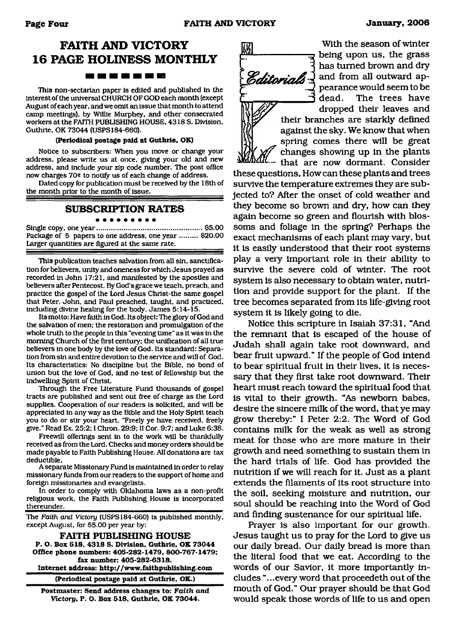### **FAITH AND VICTORY 16 PAGE HOLINESS MONTHLY**

#### -------

This non-sectarian paper is edited and published in the interest of the universal CHURCH OF GOD each month (except August of each year, and we omit an issue that month to attend camp meetings), by Willie Murphey, and other consecrated workers at the FAITH PUBLISHING HOUSE, 4318 S. Division, Guthrie, OK 73044 (USPS184-660).

#### **(Periodical postage paid at Guthrie, OK)**

Notice to subscribers: When you move or change your address, please write us at once, giving your old and new address, and include your zip code number. The post office now charges 70¢ to notify us of each change of address.

Dated copy for publication must be received by the 18th of the month prior to the month of issue.

#### **SUBSCRIPTION RATES**

#### . . . . . . . . .

Single copy, one year......................................................\$5.00 Package of 5 papers to one address, one year ......... \$20.00 Larger quantities are figured at the same rate.

This publication teaches salvation from all sin, sanctification for believers, unity and oneness for which Jesus prayed as recorded in John 17:21, and manifested by the apostles and believers after Pentecost. By God's grace we teach, preach, and practice the gospel of the Lord Jesus Christ-the same gospel that Peter, John, and Paul preached, taught, and practiced, including divine healing for the body. James 5:14-15.

Its motto: Have faith in God. Its object: The glory of God and the salvation of men; the restoration and promulgation of the whole truth to the people in this "evening time" as it was in the morning Church of the first century; the unification of all true believers in one body by the love of God. Its standard: Separation from sin and entire devotion to the service and will of God. Its characteristics: No discipline but the Bible, no bond of union but the love of God, and no test of fellowship but the indwelling Spirit of Christ.

Through the Free Literature Fund thousands of gospel tracts are published and sent out free of charge as the Lord supplies. Cooperation of our readers is solicited, and will be appreciated in any way as the Bible and the Holy Spirit teach you to do or stir your heart. "Freely ye have received, freely give." Read Ex. 25:2; I Chron. 29:9; II Cor. 9:7; and Luke 6:38.

Freewill offerings sent in to the work will be thankfully received as from the Lord. Checks and money orders should be made payable to Faith Publishing House. All donations are tax deductible.

A separate Missionary Fund is maintained in order to relay missionary funds from our readers to the support of home and foreign missionaries and evangelists.

In order to comply with Oklahoma laws as a non-profit religious work, the Faith Publishing House is incorporated thereunder.

The Faith and *Victory* (USPS 184-660) is published monthly, except August, for \$5.00 per year by:

**FAITH PUBLISHING HOUSE P. O. Box 518, 4318 S. Division, Guthrie, OK 73044 Office phone numbers: 405-282-1479, 800-767-1479; fax number: 405-282-6318. Internet address: <http://www.faithpublishing.com>**

**(Periodical postage paid at Guthrie, OK.)**

**Postmaster: Send address changes to:** *Faith and Victory***, P. O. Box 518, Guthrie, OK 73044.**



With the season of winter being upon us, the grass has turned brown and dry **Editorials**  $\frac{1}{2}$  and from all outward appearance would seem to be dead. The trees have dropped their leaves and

their branches are starkly defined against the sky. We know that when spring comes there will be great changes showing up in the plants that are now dormant. Consider

these questions, How can these plants and trees survive the temperature extremes they are subjected to? After the onset of cold weather and they become so brown and dry, how can they again become so green and flourish with blossoms and foliage in the spring? Perhaps the exact mechanisms of each plant may vary, but it is easily understood that their root systems play a very important role in their ability to survive the severe cold of winter. The root system is also necessary to obtain water, nutrition and provide support for the plant. If the tree becomes separated from its life-giving root system it is likely going to die.

Notice this scripture in Isaiah 37:31, "And the remnant that is escaped of the house of Judah shall again take root downward, and bear fruit upward." If the people of God intend to bear spiritual fruit in their lives, it is necessary that they first take root downward. Their heart must reach toward the spiritual food that is vital to their growth. "As newborn babes, desire the sincere milk of the word, that ye may grow thereby:" I Peter 2:2. The Word of God contains milk for the weak as well as strong meat for those who are more mature in their growth and need something to sustain them in the hard trials of life. God has provided the nutrition if we will reach for it. Just as a plant extends the filaments of its root structure into the soil, seeking moisture and nutrition, our soul should be reaching into the Word of God and finding sustenance for our spiritual life.

Prayer is also important for our growth. Jesus taught us to pray for the Lord to give us our daily bread. Our daily bread is more than the literal food that we eat. According to the words of our Savior, it more importantly includes "...every word that proceedeth out of the mouth of God." Our prayer should be that God would speak those words of life to us and open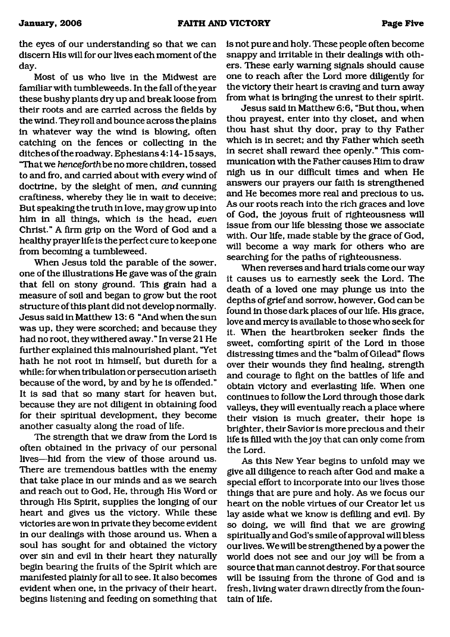the eyes of our understanding so that we can discern His will for our lives each moment of the day.

Most of us who live in the Midwest are familiar with tumbleweeds. In the fall of the year these bushy plants diy up and break loose from their roots and are carried across the fields by the wind. They roll and bounce across the plains in whatever way the wind is blowing, often catching on the fences or collecting in the ditches of the roadway. Ephesians 4:14-15 says, "That we *henceforth* be no more children, tossed to and fro, and carried about with every wind of doctrine, by the sleight of men, *and* cunning craftiness, whereby they lie in wait to deceive; But speaking the truth in love, may grow up into him in all things, which is the head, *even* Christ." A firm grip on the Word of God and a healthy prayer life is the perfect cure to keep one from becoming a tumbleweed.

When Jesus told the parable of the sower, one of the illustrations He gave was of the grain that fell on stony ground. This grain had a measure of soil and began to grow but the root structure of this plant did not develop normally. Jesus said in Matthew 13:6 "And when the sun was up, they were scorched; and because they had no root, they withered away." In verse 21 He further explained this malnourished plant, "Yet hath he not root in himself, but dureth for a while: for when tribulation or persecution ariseth because of the word, by and by he is offended." It is sad that so many start for heaven but, because they are not diligent in obtaining food for their spiritual development, they become another casualty along the road of life.

The strength that we draw from the Lord is often obtained in the privacy of our personal lives—hid from the view of those around us. There are tremendous battles with the enemy that take place in our minds and as we search and reach out to God, He, through His Word or through His Spirit, supplies the longing of our heart and gives us the victory. While these victories are won in private they become evident in our dealings with those around us. When a soul has sought for and obtained the victory over sin and evil in their heart they naturally begin bearing the fruits of the Spirit which are manifested plainly for all to see. It also becomes evident when one, in the privacy of their heart, begins listening and feeding on something that

is not pure and holy. These people often become snappy and irritable in their dealings with others. These early warning signals should cause one to reach after the Lord more diligently for the victory their heart is craving and turn away from what is bringing the unrest to their spirit.

Jesus said in Matthew 6:6, "But thou, when thou prayest, enter into thy closet, and when thou hast shut thy door, pray to thy Father which is in secret; and thy Father which seeth in secret shall reward thee openly." This communication with the Father causes Him to draw nigh us in our difficult times and when He answers our prayers our faith is strengthened and He becomes more real and precious to us. As our roots reach into the rich graces and love of God, the joyous fruit of righteousness will issue from our life blessing those we associate with. Our life, made stable by the grace of God, will become a way mark for others who are searching for the paths of righteousness.

When reverses and hard trials come our way it causes us to earnestly seek the Lord. The death of a loved one may plunge us into the depths of grief and sorrow, however, God can be found in those dark places of our life. His grace, love and mercy is available to those who seek for it. When the heartbroken seeker finds the sweet, comforting spirit of the Lord in those distressing times and the "balm of Gilead" flows over their wounds they find healing, strength and courage to fight on the battles of life and obtain victory and everlasting life. When one continues to follow the Lord through those dark valleys, they will eventually reach a place where their vision is much greater, their hope is brighter, their Savior is more precious and their life is filled with the joy that can only come from the Lord.

As this New Year begins to unfold may we give all diligence to reach after God and make a special effort to incorporate into our lives those things that are pure and holy. As we focus our heart on the noble virtues of our Creator let us lay aside what we know is defiling and evil. By so doing, we will find that we are growing spiritually and God's smile of approval will bless our lives. We will be strengthened by a power the world does not see and our joy will be from a source that man cannot destroy. For that source will be issuing from the throne of God and is fresh, living water drawn directly from the fountain of life.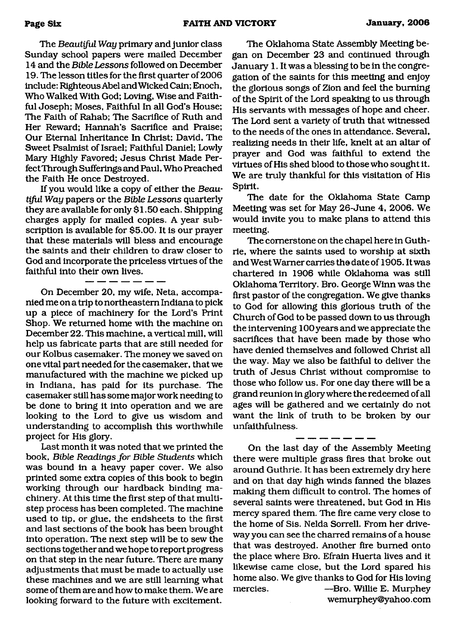The *Beautiful Way* primary and junior class Sunday school papers were mailed December 14 and the *Bible Lessons* followed on December 19. The lesson titles for the first quarter of 2006 include: Righteous Abel and Wicked Cain; Enoch, Who Walked With God; Loving, Wise and Faithful Joseph; Moses, Faithful In all God's House; The Faith of Rahab; The Sacrifice of Ruth and Her Reward; Hannah's Sacrifice and Praise; Our Eternal Inheritance In Christ; David, The Sweet Psalmist of Israel; Faithful Daniel; Lowly Mary Highly Favored; Jesus Christ Made Perfect Through Sufferings and Paul, Who Preached the Faith He once Destroyed.

If you would like a copy of either the *Beautiful Way* papers or the *Bible Lessons* quarterly they are available for only \$1.50 each. Shipping charges apply for mailed copies. A year subscription is available for \$5.00. It is our prayer that these materials will bless and encourage the saints and their children to draw closer to God and incorporate the priceless virtues of the faithful into their own lives.

On December 20, my wife, Neta, accompanied me on a trip to northeastern Indiana to pick up a piece of machinery for the Lord's Print Shop. We returned home with the machine on December 22. This machine, a vertical mill, will help us fabricate parts that are still needed for our Kolbus casemaker. The money we saved on one vital part needed for the casemaker, that we manufactured with the machine we picked up in Indiana, has paid for its purchase. The casemaker still has some major work needing to be done to bring it into operation and we are looking to the Lord to give us wisdom and understanding to accomplish this worthwhile project for His glory.

Last month it was noted that we printed the book, *Bible Readings fo r Bible Students* which was bound in a heavy paper cover. We also printed some extra copies of this book to begin working through our hardback binding machinery. At this time the first step of that multistep process has been completed. The machine used to tip, or glue, the endsheets to the first and last sections of the book has been brought into operation. The next step will be to sew the sections together and we hope to report progress on that step in the near future. There are many adjustments that must be made to actually use these machines and we are still learning what some of them are and how to make them. We are looking forward to the future with excitement.

The Oklahoma State Assembly Meeting began on December 23 and continued through January 1. It was a blessing to be in the congregation of the saints for this meeting and enjoy the glorious songs of Zion and feel the burning of the Spirit of the Lord speaking to us through His servants with messages of hope and cheer. The Lord sent a variety of truth that witnessed to the needs of the ones in attendance. Several, realizing needs in their life, knelt at an altar of prayer and God was faithful to extend the virtues of His shed blood to those who sought it. We are truly thankful for this visitation of His Spirit.

The date for the Oklahoma State Camp Meeting was set for May 26-June 4, 2006. We would invite you to make plans to attend this meeting.

The cornerstone on the chapel here in Guthrie, where the saints used to worship at sixth and West Warner carries the date of 1905. It was chartered in 1906 while Oklahoma was still Oklahoma Territory. Bro. George Winn was the first pastor of the congregation. We give thanks to God for allowing this glorious truth of the Church of God to be passed down to us through the intervening 100 years and we appreciate the sacrifices that have been made by those who have denied themselves and followed Christ all the way. May we also be faithful to deliver the truth of Jesus Christ without compromise to those who follow us. For one day there will be a grand reunion in glory where the redeemed of all ages will be gathered and we certainly do not want the link of truth to be broken by our unfaithfulness.

On the last day of the Assembly Meeting there were multiple grass fires that broke out around Guthrie. It has been extremely dry here and on that day high winds fanned the blazes making them difficult to control. The homes of several saints were threatened, but God in His mercy spared them. The fire came very close to the home of Sis. Nelda Sorrell. From her driveway you can see the charred remains of a house that was destroyed. Another fire burned onto the place where Bro. Efrain Huerta lives and it likewise came close, but the Lord spared his home also. We give thanks to God for His loving mercies. —Bro. Willie E. Murphey [wemurphey@yahoo.com](mailto:wemurphey@yahoo.com)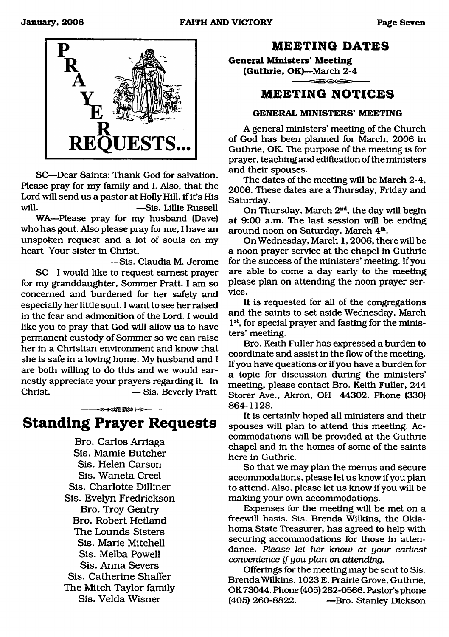

SC—Dear Saints: Thank God for salvation. Please pray for my family and I. Also, that the Lord will send us a pastor at Holly Hill, if it's His will. — Sis. Lillie Russell

WA—Please pray for my husband (Dave) who has gout. Also please pray for me, I have an unspoken request and a lot of souls on my heart. Your sister in Christ,

—Sis. Claudia M. Jerome SC—I would like to request earnest prayer for my granddaughter, Sommer Pratt. I am so concerned and burdened for her safety and especially her little soul. I want to see her raised in the fear and admonition of the Lord. I would like you to pray that God will allow us to have permanent custody of Sommer so we can raise her in a Christian environment and know that she is safe in a loving home. My husband and I are both willing to do this and we would earnestly appreciate your prayers regarding it. In Christ, — Sis. Beverly Pratt

## **Standing Prayer Requests**

**→→■200000+←** 

Bro. Carlos Arriaga Sis. Mamie Butcher Sis. Helen Carson Sis. Waneta Creel Sis. Charlotte Dilliner Sis. Evelyn Fredrickson Bro. Troy Gentry Bro. Robert Hetland The Lounds Sisters Sis. Marie Mitchell Sis. Melba Powell Sis. Anna Severs Sis. Catherine Shaffer The Mitch Taylor family Sis. Velda Wisner

### **MEETING DATES**

<span id="page-6-0"></span>**General Ministers' Meeting (Guthrie, OK)**—March 2-4

### **MEETING NOTICES**

#### **GENERAL MINISTERS' MEETING**

A general ministers' meeting of the Church of God has been planned for March, 2006 in Guthrie, OK. The purpose of the meeting is for prayer, teaching and edification of the ministers and their spouses.

The dates of the meeting will be March 2-4, 2006. These dates are a Thursday, Friday and Saturday.

On Thursday, March 2<sup>nd</sup>, the day will begin at 9:00 a.m. The last session will be ending around noon on Saturday, March 4th.

On Wednesday, March 1,2006, there will be a noon prayer service at the chapel in Guthrie for the success of the ministers' meeting. If you are able to come a day early to the meeting please plan on attending the noon prayer service.

It is requested for all of the congregations and the saints to set aside Wednesday, March 1<sup>st</sup>, for special prayer and fasting for the ministers' meeting.

Bro. Keith Fuller has expressed a burden to coordinate and assist in the flow of the meeting. If you have questions or if you have a burden for a topic for discussion during the ministers' meeting, please contact Bro. Keith Fuller, 244 Storer Ave., Akron, OH 44302. Phone (330) 864-1128.

It is certainly hoped all ministers and their spouses will plan to attend this meeting. Accommodations will be provided at the Guthrie chapel and in the homes of some of the saints here in Guthrie.

So that we may plan the menus and secure accommodations, please let us know if you plan to attend. Also, please let us know if you will be making your own accommodations.

Expenses for the meeting will be met on a freewill basis. Sis. Brenda Wilkins, the Oklahoma State Treasurer, has agreed to help with securing accommodations for those in attendance. Please *let her know at your earliest convenience if you plan on attending*.

Offerings for the meeting may be sent to Sis. Brenda Wilkins, 1023E. Prairie Grove, Guthrie, OK73044. Phone (405) 282-0566. Pastor's phone (405) 260-8822. — Bro. Stanley Dickson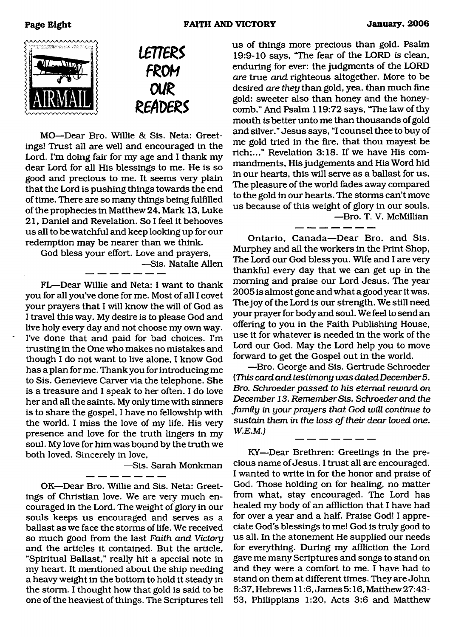



MO—Dear Bro. Willie & Sis. Neta: Greetings! Trust all are well and encouraged in the Lord. I'm doing fair for my age and I thank my dear Lord for all His blessings to me. He is so good and precious to me. It seems very plain that the Lord is pushing things towards the end of time. There are so many things being fulfilled of the prophecies in Matthew 24, Mark 13, Luke 21, Daniel and Revelation. So I feel it behooves us all to be watchful and keep looking up for our redemption may be nearer than we think.

God bless your effort. Love and prayers,

—Sis. Natalie Allen

FL—Dear Willie and Neta: I want to thank you for all you've done for me. Most of all I covet your prayers that I will know the will of God as I travel this way. My desire is to please God and live holy every day and not choose my own way. I've done that and paid for bad choices. I'm trusting in the One who makes no mistakes and though I do not want to live alone, I know God has a plan for me. Thank you for introducing me to Sis. Genevieve Carver via the telephone. She is a treasure and I speak to her often. I do love her and all the saints. My only time with sinners is to share the gospel, I have no fellowship with the world. I miss the love of my life. His very presence and love for the truth lingers in my soul. My love for him was bound by the truth we both loved. Sincerely in love,

—Sis. Sarah Monkman

OK—Dear Bro. Willie and Sis. Neta: Greetings of Christian love. We are very much encouraged in the Lord. The weight of glory in our souls keeps us encouraged and serves as a ballast as we face the storms of life. We received so much good from the last *Faith and Victory* and the articles it contained. But the article, "Spiritual Ballast," really hit a special note in my heart. It mentioned about the ship needing a heavy weight in the bottom to hold it steady in the storm. I thought how that gold is said to be one of the heaviest of things. The Scriptures tell

us of things more precious than gold. Psalm 19:9-10 says, "The fear of the LORD *is* clean, enduring for ever: the judgments of the LORD *are* true *and* righteous altogether. More to be desired *are they* than gold, yea, than much fine gold: sweeter also than honey and the honeycomb." And Psalm 119:72 says, "The law of thy mouth *is* better unto me than thousands of gold and silver." Jesus says, "I counsel thee to buy of me gold tried in the fire, that thou mayest be rich;..." Revelation 3:18. If we have His commandments, His judgements and His Word hid in our hearts, this will serve as a ballast for us. The pleasure of the world fades away compared to the gold in our hearts. The storms can't move us because of this weight of glory in our souls. —Bro. T. V. McMillian

Ontario, Canada—Dear Bro. and Sis. Murphey and all the workers in the Print Shop, The Lord our God bless you. Wife and I are very thankful every day that we can get up in the morning and praise our Lord Jesus. The year 2005 is almost gone and what a good year it was. The joy of the Lord is our strength. We still need your prayer for body and soul. We feel to send an offering to you in the Faith Publishing House, use it for whatever is needed in the work of the Lord our God. May the Lord help you to move forward to get the Gospel out in the world.

—Bro. George and Sis. Gertrude Schroeder *(This card and testimony was datedDecember5. Bro. Schroeder passed to his eternal reward on December 13. Remember Sis. Schroeder and the fam ily in yow prayers that God will continue to* sustain them in the loss of their dear loved one. *W.E.M.)*

KY—Dear Brethren: Greetings in the precious name of Jesus. I trust all are encouraged. I wanted to write in for the honor and praise of God. Those holding on for healing, no matter from what, stay encouraged. The Lord has healed my body of an affliction that I have had for over a year and a half. Praise God! I appreciate God's blessings to me! God is truly good to us all. In the atonement He supplied our needs for everything. During my affliction the Lord gave me many Scriptures and songs to stand on and they were a comfort to me. I have had to stand on them at different times. They are John 6:37, Hebrews 11:6, James 5:16, Matthew27:43- 53, Philippians 1:20, Acts 3:6 and Matthew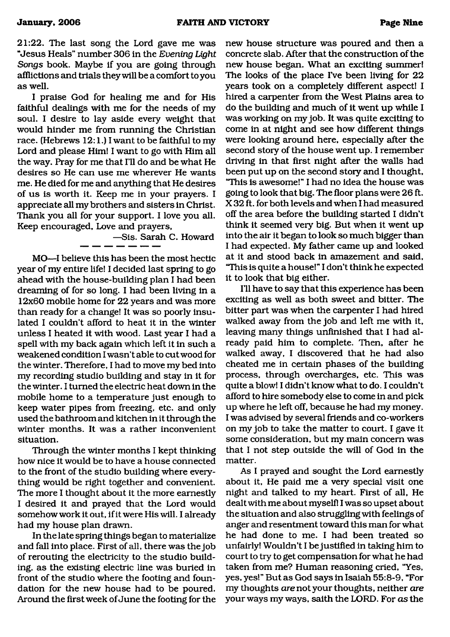21:22. The last song the Lord gave me was "Jesus Heals" number 306 in the *Evening Light Songs* book. Maybe if you are going through afflictions and trials they will be a comfort to you as well.

I praise God for healing me and for His faithful dealings with me for the needs of my soul. I desire to lay aside every weight that would hinder me from running the Christian race. (Hebrews 12:1.) I want to be faithful to my Lord and please Him! I want to go with Him all the way. Pray for me that I'll do and be what He desires so He can use me wherever He wants me. He died for me and anything that He desires of us is worth it. Keep me in your prayers. I appreciate all my brothers and sisters in Christ. Thank you all for your support. I love you all. Keep encouraged. Love and prayers,

—Sis. Sarah C. Howard

MO—I believe this has been the most hectic year of my entire life! I decided last spring to go ahead with the house-building plan I had been dreaming of for so long. I had been living in a 12x60 mobile home for 22 years and was more than ready for a change! It was so poorly insulated I couldn't afford to heat it in the winter unless I heated it with wood. Last year I had a spell with my back again which left it in such a weakened condition I wasn't able to cut wood for the winter. Therefore, I had to move my bed into my recording studio building and stay in it for the winter. I turned the electric heat down in the mobile home to a temperature just enough to keep water pipes from freezing, etc. and only used the bathroom and kitchen in it through the winter months. It was a rather inconvenient situation.

Through the winter months I kept thinking how nice it would be to have a house connected to the front of the studio building where everything would be right together and convenient. The more I thought about it the more earnestly I desired it and prayed that the Lord would somehow work it out, if it were His will. I already had my house plan drawn.

In the late spring things began to materialize and fall into place. First of all, there was the job of rerouting the electricity to the studio building, as the existing electric line was buried in front of the studio where the footing and foundation for the new house had to be poured. Around the first week of June the footing for the new house structure was poured and then a concrete slab. After that the construction of the new house began. What an exciting summer! The looks of the place I've been living for 22 years took on a completely different aspect! I hired a carpenter from the West Plains area to do the building and much of it went up while I was working on my job. It was quite exciting to come in at night and see how different things were looking around here, especially after the second story of the house went up. I remember driving in that first night after the walls had been put up on the second story and I thought, "This is awesome!" I had no idea the house was going to look that big. The floor plans were 26 ft. X 32 ft. for both levels and when I had measured off the area before the building started I didn't think it seemed very big. But when it went up into the air it began to look so much bigger than I had expected. My father came up and looked at it and stood back in amazement and said, "This is quite a house!" I don't think he expected it to look that big either.

I'll have to say that this experience has been exciting as well as both sweet and bitter. The bitter part was when the carpenter I had hired walked away from the job and left me with it, leaving many things unfinished that I had already paid him to complete. Then, after he walked away, I discovered that he had also cheated me in certain phases of the building process, through overcharges, etc. This was quite a blow! I didn't know what to do. I couldn't afford to hire somebody else to come in and pick up where he left off, because he had my money. I was advised by several friends and co-workers on my job to take the matter to court. I gave it some consideration, but my main concern was that I not step outside the will of God in the matter.

As I prayed and sought the Lord earnestly about it, He paid me a very special visit one night and talked to my heart. First of all, He dealt with me about myself! I was so upset about the situation and also struggling with feelings of anger and resentment toward this man for what he had done to me. I had been treated so unfairly! Wouldn't I be justified in taking him to court to try to get compensation for what he had taken from me? Human reasoning cried, "Yes, yes, yes!" But as God says in Isaiah 55:8-9, "For my thoughts *are* not your thoughts, neither *are* your ways my ways, saith the LORD. For as the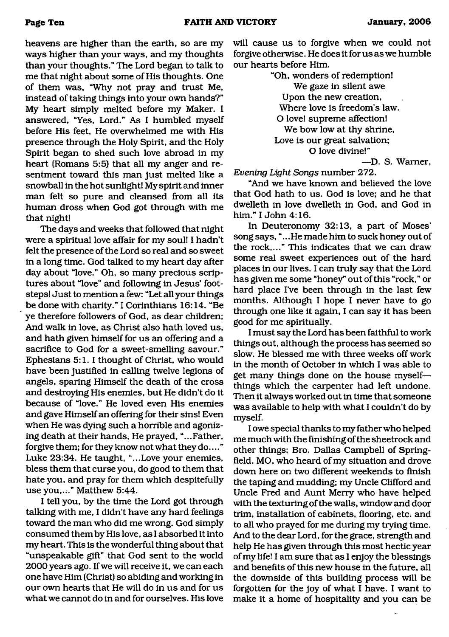heavens are higher than the earth, so are my ways higher than your ways, and my thoughts than your thoughts." The Lord began to talk to me that night about some of His thoughts. One of them was, "Why not pray and trust Me, instead of taking things into your own hands?" My heart simply melted before my Maker. I answered, "Yes, Lord." As I humbled myself before His feet, He overwhelmed me with His presence through the Holy Spirit, and the Holy Spirit began to shed such love abroad in my heart (Romans 5:5) that all my anger and resentment toward this man just melted like a snowball in the hot sunlight! My spirit and inner man felt so pure and cleansed from all its human dross when God got through with me that night!

The days and weeks that followed that night were a spiritual love affair for my soul! I hadn't felt the presence of the Lord so real and so sweet in a long time. God talked to my heart day after day about "love." Oh, so many precious scriptures about "love" and following in Jesus' footsteps! Just to mention a few: "Let all your things be done with charity." I Corinthians 16:14. "Be ye therefore followers of God, as dear children; And walk in love, as Christ also hath loved us, and hath given himself for us an offering and a sacrifice to God for a sweet-smelling savour." Ephesians 5:1.1 thought of Christ, who would have been justified in calling twelve legions of angels, sparing Himself the death of the cross and destroying His enemies, but He didn't do it because of "love." He loved even His enemies and gave Himself an offering for their sins! Even when He was dying such a horrible and agonizing death at their hands, He prayed, "...Father, forgive them; for they know not what they do...." Luke 23:34. He taught, "...Love your enemies, bless them that curse you, do good to them that hate you, and pray for them which despitefully use you,..." Matthew 5:44.

I tell you, by the time the Lord got through talking with me, I didn't have any hard feelings toward the man who did me wrong. God simply consumed them by His love, as I absorbed it into my heart. This is the wonderful thing about that "unspeakable gift" that God sent to the world 2000 years ago. If we will receive it, we can each one have Him (Christ) so abiding and working in our own hearts that He will do in us and for us what we cannot do in and for ourselves. His love

will cause us to forgive when we could not forgive otherwise. He does it for us as we humble our hearts before Him.

> "Oh, wonders of redemption! We gaze in silent awe Upon the new creation, Where love is freedom's law. O love! supreme affection! We bow low at thy shrine, Love is our great salvation; O love divine!"

—D. S. Warner,

*Evening Light Songs* number 272.

"And we have known and believed the love that God hath to us. God is love; and he that dwelleth in love dwelleth in God, and God in him." I John 4:16.

In Deuteronomy 32:13, a part of Moses' song says, ".. .He made him to suck honey out of the rock,..." This indicates that we can draw some real sweet experiences out of the hard places in our lives. I can truly say that the Lord has given me some "honey" out of this "rock," or hard place I've been through in the last few months. Although I hope I never have to go through one like it again, I can say it has been good for me spiritually.

I must say the Lord has been faithful to work things out, although the process has seemed so slow. He blessed me with three weeks off work in the month of October in which I was able to get many things done on the house myself things which the carpenter had left undone. Then it always worked out in time that someone was available to help with what I couldn't do by myself.

I owe special thanks to my father who helped me much with the finishing of the sheetrock and other things; Bro. Dallas Campbell of Springfield, MO, who heard of my situation and drove down here on two different weekends to finish the taping and mudding; my Uncle Clifford and Uncle Fred and Aunt Merry who have helped with the texturing of the walls, window and door trim, installation of cabinets, flooring, etc. and to all who prayed for me during my trying time. And to the dear Lord, for the grace, strength and help He has given through this most hectic year of my life! I am sure that as I enjoy the blessings and benefits of this new house in the future, all the downside of this building process will be forgotten for the joy of what I have. I want to make it a home of hospitality and you can be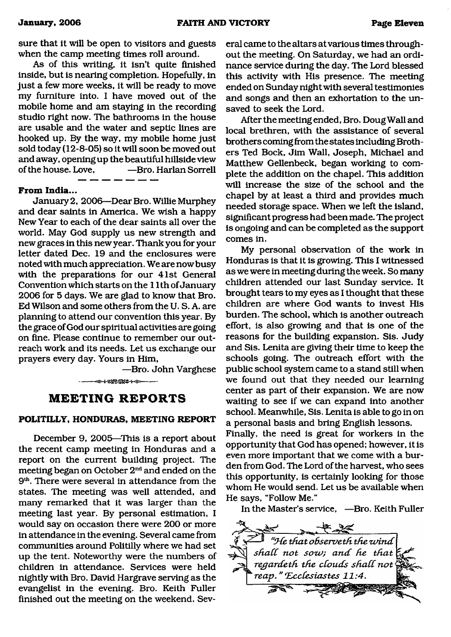sure that it will be open to visitors and guests when the camp meeting times roll around.

As of this writing, it isn't quite finished inside, but is nearing completion. Hopefully, in just a few more weeks, it will be ready to move my furniture into. I have moved out of the mobile home and am staying in the recording studio right now. The bathrooms in the house are usable and the water and septic lines are hooked up. By the way, my mobile home just sold today (12-8-05) so it will soon be moved out and away, opening up the beautiful hillside view -Bro. Harlan Sorrell

#### **From India...**

January2, 2006—Dear Bro. Willie Murphey and dear saints in America. We wish a happy New Year to each of the dear saints all over the world. May God supply us new strength and new graces in this new year. Thank you for your letter dated Dec. 19 and the enclosures were noted with much appreciation. We are now busy with the preparations for our 41st General Convention which starts on the 11th of January 2006 for 5 days. We are glad to know that Bro. Ed Wilson and some others from the U. S. A. are planning to attend our convention this year. By the grace of God our spiritual activities are going on fine. Please continue to remember our outreach work and its needs. Let us exchange our prayers every day. Yours in Him,

—Bro. John Varghese

**- -^> -fJ35{g<SSfS-i-<Ss— - —**

#### **MEETING REPORTS**

#### <span id="page-10-0"></span>**POLITILLY, HONDURAS, MEETING REPORT**

December 9, 2005—This is a report about the recent camp meeting in Honduras and a report on the current building project. The meeting began on October 2nd and ended on the 9<sup>th</sup>. There were several in attendance from the states. The meeting was well attended, and many remarked that it was larger than the meeting last year. By personal estimation, I would say on occasion there were 200 or more in attendance in the evening. Several came from communities around Politilly where we had set up the tent. Noteworthy were the numbers of children in attendance. Services were held nightly with Bro. David Hargrave serving as the evangelist in the evening. Bro. Keith Fuller finished out the meeting on the weekend. Sev-

eral came to the altars at various times throughout the meeting. On Saturday, we had an ordinance service during the day. The Lord blessed this activity with His presence. The meeting ended on Sunday night with several testimonies and songs and then an exhortation to the unsaved to seek the Lord.

After the meeting ended, Bro. Doug Wall and local brethren, with the assistance of several brothers coming from the states including Brothers Ted Bock, Jim Wall, Joseph, Michael and Matthew Gellenbeck, began working to complete the addition on the chapel. This addition will increase the size of the school and the chapel by at least a third and provides much needed storage space. When we left the island, significant progress had been made. The project is ongoing and can be completed as the support comes in.

My personal observation of the work in Honduras is that it is growing. This I witnessed as we were in meeting during the week. So many children attended our last Sunday service. It brought tears to my eyes as I thought that these children are where God wants to invest His burden. The school, which is another outreach effort, is also growing and that is one of the reasons for the building expansion. Sis. Judy and Sis. Lenita are giving their time to keep the schools going. The outreach effort with the public school system came to a stand still when we found out that they needed our learning center as part of their expansion. We are now waiting to see if we can expand into another school. Meanwhile, Sis. Lenita is able to go in on a personal basis and bring English lessons.

Finally, the need is great for workers in the opportunity that God has opened; however, it is even more important that we come with a burden from God. The Lord of the harvest, who sees this opportunity, is certainly looking for those whom He would send. Let us be available when He says, "Follow Me."

In the Master's service, —Bro. Keith Fuller

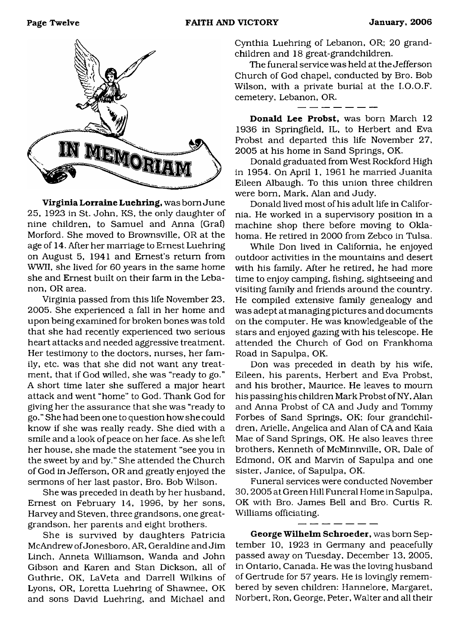

**Virginia Lorraine Luehring,** was bom June 25, 1923 in St. John, KS, the only daughter of nine children, to Samuel and Anna (Graf) Morford. She moved to Brownsville, OR at the age of 14. After her marriage to Ernest Luehring on August 5, 1941 and Ernest's return from WWII, she lived for 60 years in the same home she and Ernest built on their farm in the Lebanon, OR area.

Virginia passed from this life November 23, 2005. She experienced a fall in her home and upon being examined for broken bones was told that she had recently experienced two serious heart attacks and needed aggressive treatment. Her testimony to the doctors, nurses, her family, etc. was that she did not want any treatment, that if God willed, she was "ready to go." A short time later she suffered a major heart attack and went "home" to God. Thank God for giving her the assurance that she was "ready to go." She had been one to question how she could know if she was really ready. She died with a smile and a look of peace on her face. As she left her house, she made the statement "see you in the sweet by and by." She attended the Church of God in Jefferson, OR and greatly enjoyed the sermons of her last pastor, Bro. Bob Wilson.

She was preceded in death by her husband, Ernest on February 14, 1996, by her sons, Harvey and Steven, three grandsons, one greatgrandson, her parents and eight brothers.

She is survived by daughters Patricia McAndrew of Jonesboro, AR, Geraldine and Jim Linch, Anneta Williamson, Wanda and John Gibson and Karen and Stan Dickson, all of Guthrie, OK, LaVeta and Darrell Wilkins of Lyons, OR, Loretta Luehring of Shawnee, OK and sons David Luehring, and Michael and

Cynthia Luehring of Lebanon, OR; 20 grandchildren and 18 great-grandchildren.

The funeral service was held at the Jefferson Church of God chapel, conducted by Bro. Bob Wilson, with a private burial at the I.O.O.F. cemetery, Lebanon, OR.

**Donald Lee Probst,** was bom March 12 1936 in Springfield, IL, to Herbert and Eva Probst and departed this life November 27, 2005 at his home in Sand Springs, OK.

Donald graduated from West Rockford High in 1954. On April 1, 1961 he married Juanita Eileen Albaugh. To this union three children were bom, Mark, Alan and Judy.

Donald lived most of his adult life in California. He worked in a supervisory position in a machine shop there before moving to Oklahoma. He retired in 2000 from Zebco in Tulsa.

While Don lived in California, he enjoyed outdoor activities in the mountains and desert with his family. After he retired, he had more time to enjoy camping, fishing, sightseeing and visiting family and friends around the country. He compiled extensive family genealogy and was adept at managing pictures and documents on the computer. He was knowledgeable of the stars and enjoyed gazing with his telescope. He attended the Church of God on Frankhoma Road in Sapulpa, OK.

Don was preceded in death by his wife, Eileen, his parents, Herbert and Eva Probst, and his brother, Maurice. He leaves to mourn his passing his children Mark Probst of NY, Alan and Anna Probst of CA and Judy and Tommy Forbes of Sand Springs, OK; four grandchildren, Arielle, Angelica and Alan of CA and Kaia Mae of Sand Springs, OK. He also leaves three brothers, Kenneth of McMinnville, OR, Dale of Edmond, OK and Marvin of Sapulpa and one sister, Janice, of Sapulpa, OK.

Funeral services were conducted November 30,2005 at Green Hill Funeral Home in Sapulpa, OK with Bro. James Bell and Bro. Curtis R. Williams officiating.

**George Wilhelm Schroeder,** was bom September 10, 1923 in Germany and peacefully passed away on Tuesday, December 13, 2005, in Ontario, Canada. He was the loving husband of Gertrude for 57 years. He is lovingly remembered by seven children: Hannelore, Margaret, Norbert, Ron, George, Peter, Walter and all their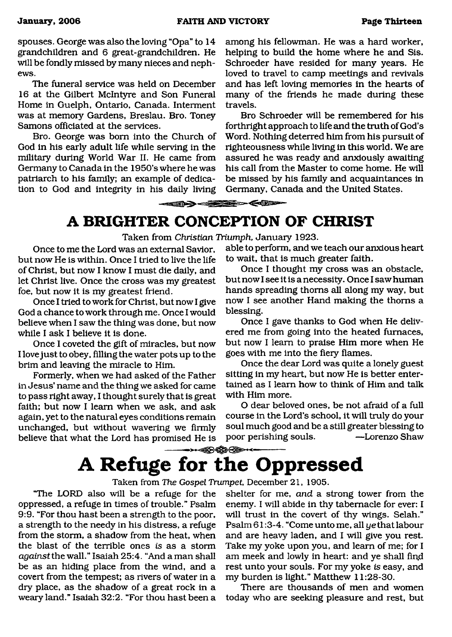spouses. George was also the loving "Opa" to 14 grandchildren and 6 great-grandchildren. He will be fondly missed by many nieces and nephews.

The funeral service was held on December 16 at the Gilbert McIntyre and Son Funeral Home in Guelph, Ontario, Canada. Interment was at memory Gardens, Breslau. Bro. Toney Samons officiated at the services.

Bro. George was bom into the Church of God in his early adult life while serving in the military during World War II. He came from Germany to Canada in the 1950's where he was patriarch to his family; an example of dedication to God and integrity in his daily living

among his fellowman. He was a hard worker, helping to build the home where he and Sis. Schroeder have resided for many years. He loved to travel to camp meetings and revivals and has left loving memories in the hearts of many of the friends he made during these travels.

Bro Schroeder will be remembered for his forthright approach to life and the truth of God's Word. Nothing deterred him from his pursuit of righteousness while living in this world. We are assured he was ready and anxiously awaiting his call from the Master to come home. He will be missed by his family and acquaintances in Germany, Canada and the United States.

### <span id="page-12-0"></span>**A BRIGHTER CONCEPTION OF CHRIST**

 $\qquad \qquad \Longleftrightarrow \qquad \qquad \Longleftrightarrow$ 

Taken from *Christian Triumph,* January 1923.

Once to me the Lord was an external Savior, but now He is within. Once I tried to live the life of Christ, but now I know I must die daily, and let Christ live. Once the cross was my greatest foe, but now it is my greatest friend.

Once I tried to work for Christ, but now I give God a chance to work through me. Once I would believe when I saw the thing was done, but now while I ask I believe it is done.

Once I coveted the gift of miracles, but now I love just to obey, filling the water pots up to the brim and leaving the miracle to Him.

Formerly, when we had asked of the Father in Jesus' name and the thing we asked for came to pass right away, I thought surely that is great faith; but now I learn when we ask, and ask again, yet to the natural eyes conditions remain unchanged, but without wavering we firmly believe that what the Lord has promised He is

able to perform, and we teach our anxious heart to wait, that is much greater faith.

Once I thought my cross was an obstacle, but now I see it is a necessity. Once I saw human hands spreading thorns all along my way, but now I see another Hand making the thorns a blessing.

Once I gave thanks to God when He delivered me from going into the heated furnaces, but now I leam to praise Him more when He goes with me into the fiery flames.

Once the dear Lord was quite a lonely guest sitting in my heart, but now He is better entertained as I learn how to think of Him and talk with Him more.

O dear beloved ones, be not afraid of a full course in the Lord's school, it will truly do your soul much good and be a still greater blessing to poor perishing souls. —Lorenzo Shaw

### <span id="page-12-1"></span>**,,,,,,,,,,,,,,,, A Refuge for the Oppressed**

#### Taken from *The Gospel Trumpet,* December 21, 1905.

"The LORD also will be a refuge for the oppressed, a refuge in times of trouble." Psalm 9:9. "For thou hast been a strength to the poor, a strength to the needy in his distress, a refuge from the storm, a shadow from the heat, when the blast of the terrible ones *is* as a storm *againstthe* wall." Isaiah 25:4. "And a man shall be as an hiding place from the wind, and a covert from the tempest; as rivers of water in a dry place, as the shadow of a great rock in a weary land." Isaiah 32:2. "For thou hast been a shelter for me, *and* a strong tower from the enemy. I will abide in thy tabernacle for ever: I will trust in the covert of thy wings. Selah." Psalm 61:3-4. "Come unto me, all ye that labour and are heavy laden, and I will give you rest. Take my yoke upon you, and leam of me; for I am meek and lowly in heart: and ye shall find rest unto your souls. For my yoke *is* easy, and my burden is light." Matthew 11:28-30.

There are thousands of men and women today who are seeking pleasure and rest, but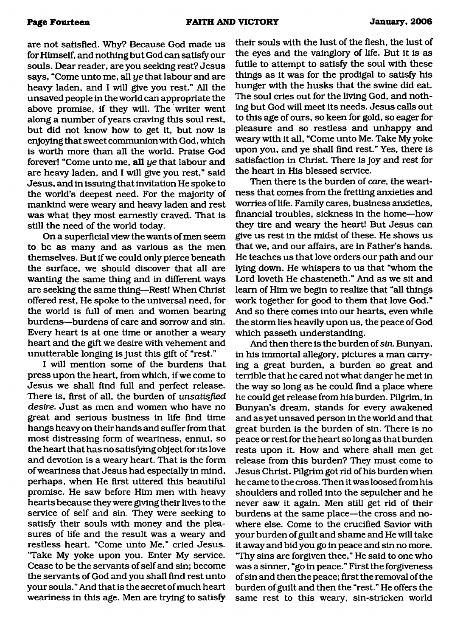are not satisfied. Why? Because God made us for Himself, and nothing but God can satisfy our souls. Dear reader, are you seeking rest? Jesus says, "Come unto me, all ye that labour and are heavy laden, and I will give you rest." All the unsaved people in the world can appropriate the above promise, if they will. The writer went along a number of years craving this soul rest, but did not know how to get it, but now is enjoying that sweet communion with God, which is worth more than all the world. Praise God forever! "Come unto me, **all** *ye* that labour and are heavy laden, and I will give you rest," said Jesus, and in issuing that invitation He spoke to the world's deepest need. For the majority of mankind were weary and heavy laden and rest was what they most earnestly craved. That is still the need of the world today.

On a superficial view the wants of men seem to be as many and as various as the men themselves. But if we could only pierce beneath the surface, we should discover that all are wanting the same thing and in different ways are seeking the same thing—Rest! When Christ offered rest, He spoke to the universal need, for the world is full of men and women bearing burdens—burdens of care and sorrow and sin. Every heart is at one time or another a weary heart and the gift we desire with vehement and unutterable longing is just this gift of "rest."

I will mention some of the burdens that press upon the heart, from which, if we come to Jesus we shall find full and perfect release. There is, first of all, the burden of *unsatisfied desire.* Just as men and women who have no great and serious business in life find time hangs heavy on their hands and suffer from that most distressing form of weariness, ennui, so the heart that has no satisfying object for its love and devotion is a weary heart. That is the form of weariness that Jesus had especially in mind, perhaps, when He first uttered this beautiful promise. He saw before Him men with heavy hearts because they were giving their lives to the service of self and sin. They were seeking to satisfy their souls with money and the pleasures of life and the result was a weary and restless heart. "Come unto Me," cried Jesus. "Take My yoke upon you. Enter My service. Cease to be the servants of self and sin; become the servants of God and you shall find rest unto your souls." And that is the secret of much heart weariness in this age. Men are trying to satisfy

their souls with the lust of the flesh, the lust of the eyes and the vainglory of life. But it is as futile to attempt to satisfy the soul with these things as it was for the prodigal to satisfy his hunger with the husks that the swine did eat. The soul cries out for the living God, and nothing but God will meet its needs. Jesus calls out to this age of ours, so keen for gold, so eager for pleasure and so restless and unhappy and weary with it all, "Come unto Me. Take My yoke upon you, and ye shall find rest." Yes, there is satisfaction in Christ. There is joy and rest for the heart in His blessed service.

Then there is the burden of *care*, the weariness that comes from the fretting anxieties and worries of life. Family cares, business anxieties, financial troubles, sickness in the home—how they tire and weary the heart! But Jesus can give us rest in the midst of these. He shows us that we, and our affairs, are in Father's hands. He teaches us that love orders our path and our lying down. He whispers to us that "whom the Lord loveth He chasteneth." And as we sit and learn of Him we begin to realize that "all things work together for good to them that love God." And so there comes into our hearts, even while the storm lies heavily upon us, the peace of God which passeth understanding.

And then there is the burden of sin. Bunyan, in his immortal allegory, pictures a man carrying a great burden, a burden so great and terrible that he cared not what danger he met in the way so long as he could find a place where he could get release from his burden. Pilgrim, in Bunyan's dream, stands for every awakened and as yet unsaved person in the world and that great burden is the burden of sin. There is no peace or rest for the heart so long as that burden rests upon it. How and where shall men get release from this burden? They must come to Jesus Christ. Pilgrim got rid of his burden when he came to the cross. Then it was loosed from his shoulders and rolled into the sepulcher and he never saw it again. Men still get rid of their burdens at the same place—the cross and nowhere else. Come to the crucified Savior with your burden of guilt and shame and He will take it away and bid you go in peace and sin no more. "Thy sins are forgiven thee," He said to one who was a sinner, "go in peace." First the forgiveness of sin and then the peace; first the removal of the burden of guilt and then the "rest." He offers the same rest to this weary, sin-stricken world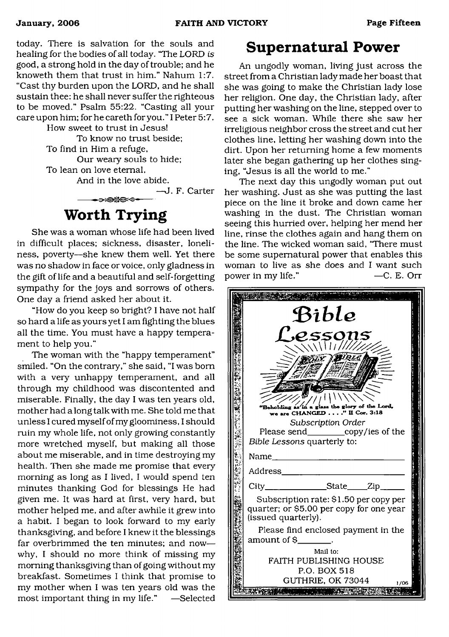today. There is salvation for the souls and healing for the bodies of all today. "The LORD *is* good, a strong hold in the day of trouble; and he knoweth them that trust in him." Nahum 1:7. "Cast thy burden upon the LORD, and he shall sustain thee; he shall never suffer the righteous to be moved." Psalm 55:22. "Casting all your care upon him; for he careth for you." I Peter 5:7.

How sweet to trust in Jesus! To know no trust beside; To find in Him a refuge, Our weary souls to hide; To lean on love eternal, And in the love abide.

—J. F. Carter

### **Worth Trying**

**-----**

<span id="page-14-0"></span>She was a woman whose life had been lived in difficult places; sickness, disaster, loneliness, poverty—she knew them well. Yet there was no shadow in face or voice, only gladness in the gift of life and a beautiful and self-forgetting sympathy for the joys and sorrows of others. One day a friend asked her about it.

"How do you keep so bright? I have not half so hard a life as yours yet I am fighting the blues all the time. You must have a happy temperament to help you."

The woman with the "happy temperament" smiled. "On the contrary," she said, "I was bom with a very unhappy temperament, and all through my childhood was discontented and miserable. Finally, the day I was ten years old, mother had a long talk with me. She told me that unless I cured myself of my gloominess, I should min my whole life, not only growing constantly more wretched myself, but making all those about me miserable, and in time destroying my health. Then she made me promise that every morning as long as I lived, I would spend ten minutes thanking God for blessings He had given me. It was hard at first, very hard, but mother helped me, and after awhile it grew into a habit. I began to look forward to my early thanksgiving, and before I knew it the blessings far overbrimmed the ten minutes; and now why, I should no more think of missing my morning thanksgiving than of going without my breakfast. Sometimes I think that promise to my mother when I was ten years old was the most important thing in my life." —Selected

### <span id="page-14-1"></span>**Supernatural Power**

An ungodly woman, living just across the street from a Christian lady made her boast that she was going to make the Christian lady lose her religion. One day, the Christian lady, after putting her washing on the line, stepped over to see a sick woman. While there she saw her irreligious neighbor cross the street and cut her clothes line, letting her washing down into the dirt. Upon her returning home a few moments later she began gathering up her clothes singing, "Jesus is all the world to me."

The next day this ungodly woman put out her washing. Just as she was putting the last piece on the line it broke and down came her washing in the dust. The Christian woman seeing this hurried over, helping her mend her line, rinse the clothes again and hang them on the line. The wicked woman said, "There must be some supernatural power that enables this woman to live as she does and I want such power in my life." —C. E. Orr

| Bible                                                                          |  |  |  |  |
|--------------------------------------------------------------------------------|--|--|--|--|
|                                                                                |  |  |  |  |
| Lessons                                                                        |  |  |  |  |
| $\sqrt{ \sqrt{ \sqrt{ \left( I / I / I / I / I \right) }} }$                   |  |  |  |  |
|                                                                                |  |  |  |  |
|                                                                                |  |  |  |  |
|                                                                                |  |  |  |  |
|                                                                                |  |  |  |  |
| Beholding as in a glass the glory of the Lord,<br>we are CHANGED" II Cor. 3:18 |  |  |  |  |
| Subscription Order                                                             |  |  |  |  |
| Please send___________copy/ies of the                                          |  |  |  |  |
| Bible Lessons quarterly to:                                                    |  |  |  |  |
| Name                                                                           |  |  |  |  |
| Address                                                                        |  |  |  |  |
|                                                                                |  |  |  |  |
| Subscription rate: \$1.50 per copy per                                         |  |  |  |  |
| quarter; or \$5.00 per copy for one year<br>(issued quarterly).                |  |  |  |  |
|                                                                                |  |  |  |  |
| Please find enclosed payment in the<br>amount of \$_                           |  |  |  |  |
| Mail to:                                                                       |  |  |  |  |
| FAITH PUBLISHING HOUSE                                                         |  |  |  |  |
| P.O. BOX 518                                                                   |  |  |  |  |
| GUTHRIE, OK 73044<br>1/06                                                      |  |  |  |  |
| <b>CARD AND AN</b>                                                             |  |  |  |  |